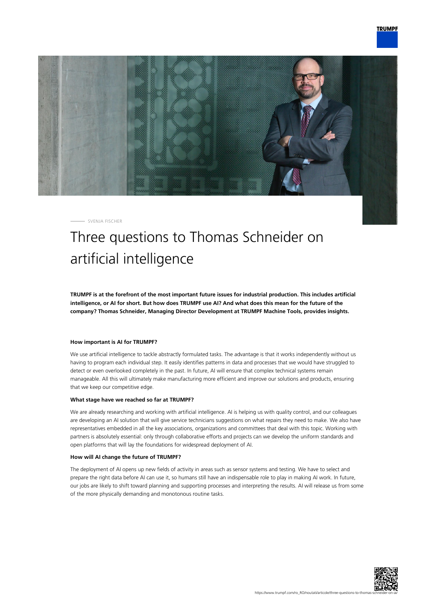

SVENJA FISCHER

## Three questions to Thomas Schneider on artificial intelligence

**TRUMPF is at the forefront of the most important future issues for industrial production. This includes artificial intelligence, or AI for short. But how does TRUMPF use AI? And what does this mean for the future of the company? Thomas Schneider, Managing Director Development at TRUMPF Machine Tools, provides insights.**

## **How important is AI for TRUMPF?**

We use artificial intelligence to tackle abstractly formulated tasks. The advantage is that it works independently without us having to program each individual step. It easily identifies patterns in data and processes that we would have struggled to detect or even overlooked completely in the past. In future, AI will ensure that complex technical systems remain manageable. All this will ultimately make manufacturing more efficient and improve our solutions and products, ensuring that we keep our competitive edge.

## **What stage have we reached so far at TRUMPF?**

We are already researching and working with artificial intelligence. AI is helping us with quality control, and our colleagues are developing an AI solution that will give service technicians suggestions on what repairs they need to make. We also have representatives embedded in all the key associations, organizations and committees that deal with this topic. Working with partners is absolutely essential: only through collaborative efforts and projects can we develop the uniform standards and open platforms that will lay the foundations for widespread deployment of AI.

## **How will AI change the future of TRUMPF?**

The deployment of AI opens up new fields of activity in areas such as sensor systems and testing. We have to select and prepare the right data before AI can use it, so humans still have an indispensable role to play in making AI work. In future, our jobs are likely to shift toward planning and supporting processes and interpreting the results. AI will release us from some of the more physically demanding and monotonous routine tasks.